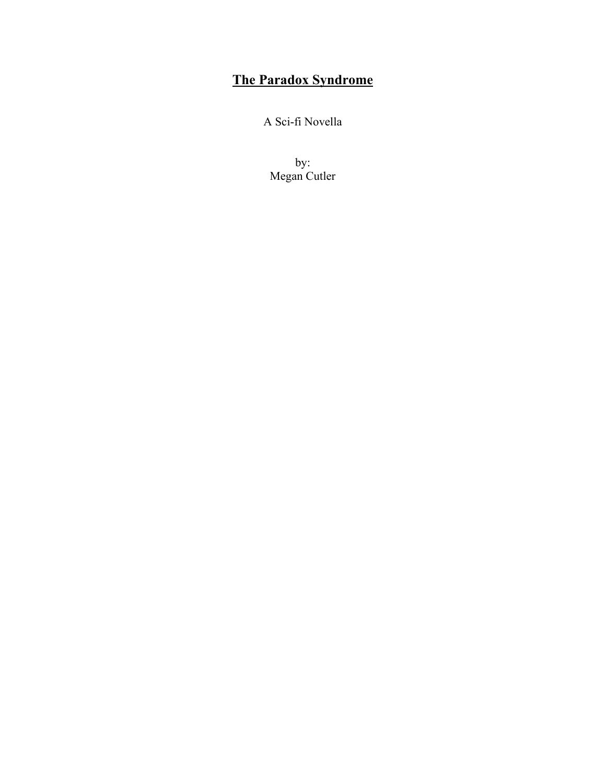## **The Paradox Syndrome**

A Sci-fi Novella

by: Megan Cutler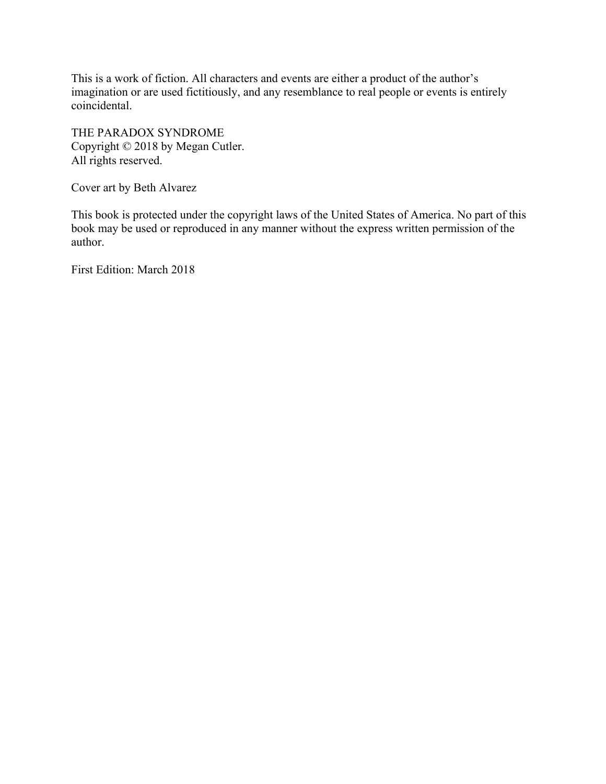This is a work of fiction. All characters and events are either a product of the author's imagination or are used fictitiously, and any resemblance to real people or events is entirely coincidental.

THE PARADOX SYNDROME Copyright © 2018 by Megan Cutler. All rights reserved.

Cover art by Beth Alvarez

This book is protected under the copyright laws of the United States of America. No part of this book may be used or reproduced in any manner without the express written permission of the author.

First Edition: March 2018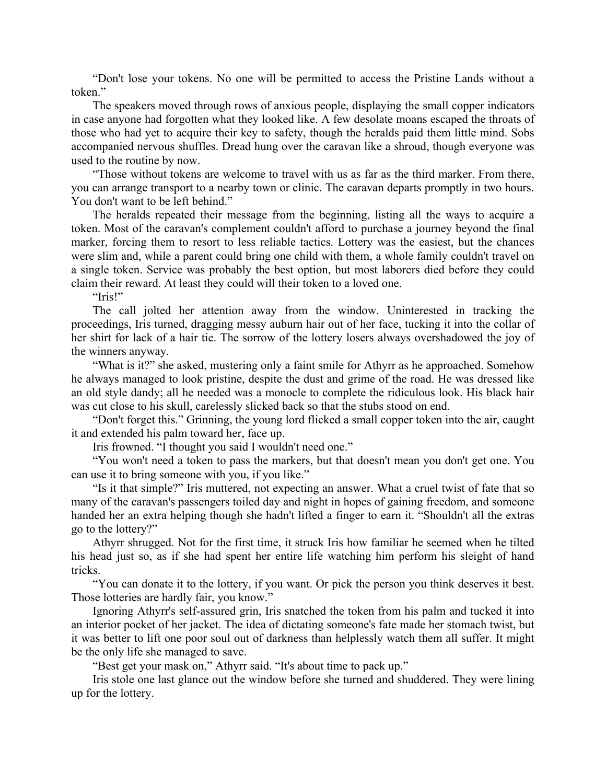"Don't lose your tokens. No one will be permitted to access the Pristine Lands without a token."

The speakers moved through rows of anxious people, displaying the small copper indicators in case anyone had forgotten what they looked like. A few desolate moans escaped the throats of those who had yet to acquire their key to safety, though the heralds paid them little mind. Sobs accompanied nervous shuffles. Dread hung over the caravan like a shroud, though everyone was used to the routine by now.

"Those without tokens are welcome to travel with us as far as the third marker. From there, you can arrange transport to a nearby town or clinic. The caravan departs promptly in two hours. You don't want to be left behind."

The heralds repeated their message from the beginning, listing all the ways to acquire a token. Most of the caravan's complement couldn't afford to purchase a journey beyond the final marker, forcing them to resort to less reliable tactics. Lottery was the easiest, but the chances were slim and, while a parent could bring one child with them, a whole family couldn't travel on a single token. Service was probably the best option, but most laborers died before they could claim their reward. At least they could will their token to a loved one.

"Iris!"

The call jolted her attention away from the window. Uninterested in tracking the proceedings, Iris turned, dragging messy auburn hair out of her face, tucking it into the collar of her shirt for lack of a hair tie. The sorrow of the lottery losers always overshadowed the joy of the winners anyway.

"What is it?" she asked, mustering only a faint smile for Athyrr as he approached. Somehow he always managed to look pristine, despite the dust and grime of the road. He was dressed like an old style dandy; all he needed was a monocle to complete the ridiculous look. His black hair was cut close to his skull, carelessly slicked back so that the stubs stood on end.

"Don't forget this." Grinning, the young lord flicked a small copper token into the air, caught it and extended his palm toward her, face up.

Iris frowned. "I thought you said I wouldn't need one."

"You won't need a token to pass the markers, but that doesn't mean you don't get one. You can use it to bring someone with you, if you like."

"Is it that simple?" Iris muttered, not expecting an answer. What a cruel twist of fate that so many of the caravan's passengers toiled day and night in hopes of gaining freedom, and someone handed her an extra helping though she hadn't lifted a finger to earn it. "Shouldn't all the extras go to the lottery?"

Athyrr shrugged. Not for the first time, it struck Iris how familiar he seemed when he tilted his head just so, as if she had spent her entire life watching him perform his sleight of hand tricks.

"You can donate it to the lottery, if you want. Or pick the person you think deserves it best. Those lotteries are hardly fair, you know."

Ignoring Athyrr's self-assured grin, Iris snatched the token from his palm and tucked it into an interior pocket of her jacket. The idea of dictating someone's fate made her stomach twist, but it was better to lift one poor soul out of darkness than helplessly watch them all suffer. It might be the only life she managed to save.

"Best get your mask on," Athyrr said. "It's about time to pack up."

Iris stole one last glance out the window before she turned and shuddered. They were lining up for the lottery.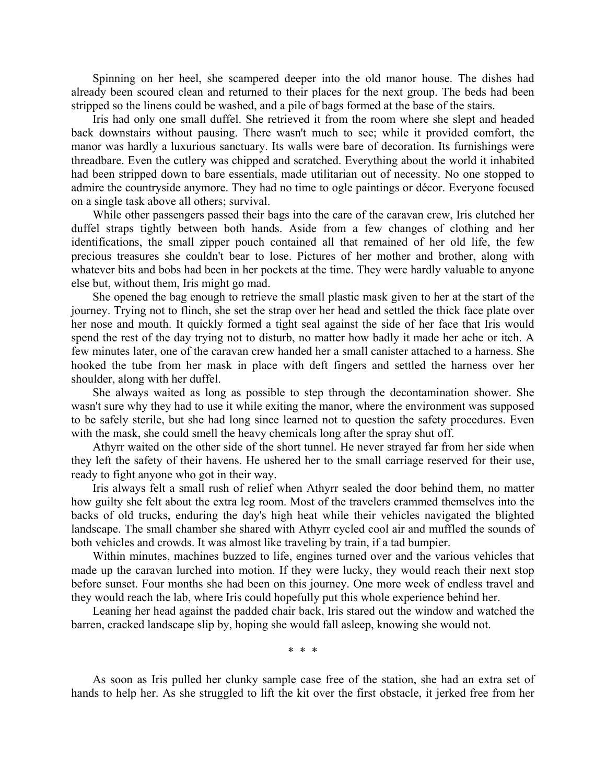Spinning on her heel, she scampered deeper into the old manor house. The dishes had already been scoured clean and returned to their places for the next group. The beds had been stripped so the linens could be washed, and a pile of bags formed at the base of the stairs.

Iris had only one small duffel. She retrieved it from the room where she slept and headed back downstairs without pausing. There wasn't much to see; while it provided comfort, the manor was hardly a luxurious sanctuary. Its walls were bare of decoration. Its furnishings were threadbare. Even the cutlery was chipped and scratched. Everything about the world it inhabited had been stripped down to bare essentials, made utilitarian out of necessity. No one stopped to admire the countryside anymore. They had no time to ogle paintings or décor. Everyone focused on a single task above all others; survival.

While other passengers passed their bags into the care of the caravan crew, Iris clutched her duffel straps tightly between both hands. Aside from a few changes of clothing and her identifications, the small zipper pouch contained all that remained of her old life, the few precious treasures she couldn't bear to lose. Pictures of her mother and brother, along with whatever bits and bobs had been in her pockets at the time. They were hardly valuable to anyone else but, without them, Iris might go mad.

She opened the bag enough to retrieve the small plastic mask given to her at the start of the journey. Trying not to flinch, she set the strap over her head and settled the thick face plate over her nose and mouth. It quickly formed a tight seal against the side of her face that Iris would spend the rest of the day trying not to disturb, no matter how badly it made her ache or itch. A few minutes later, one of the caravan crew handed her a small canister attached to a harness. She hooked the tube from her mask in place with deft fingers and settled the harness over her shoulder, along with her duffel.

She always waited as long as possible to step through the decontamination shower. She wasn't sure why they had to use it while exiting the manor, where the environment was supposed to be safely sterile, but she had long since learned not to question the safety procedures. Even with the mask, she could smell the heavy chemicals long after the spray shut off.

Athyrr waited on the other side of the short tunnel. He never strayed far from her side when they left the safety of their havens. He ushered her to the small carriage reserved for their use, ready to fight anyone who got in their way.

Iris always felt a small rush of relief when Athyrr sealed the door behind them, no matter how guilty she felt about the extra leg room. Most of the travelers crammed themselves into the backs of old trucks, enduring the day's high heat while their vehicles navigated the blighted landscape. The small chamber she shared with Athyrr cycled cool air and muffled the sounds of both vehicles and crowds. It was almost like traveling by train, if a tad bumpier.

Within minutes, machines buzzed to life, engines turned over and the various vehicles that made up the caravan lurched into motion. If they were lucky, they would reach their next stop before sunset. Four months she had been on this journey. One more week of endless travel and they would reach the lab, where Iris could hopefully put this whole experience behind her.

Leaning her head against the padded chair back, Iris stared out the window and watched the barren, cracked landscape slip by, hoping she would fall asleep, knowing she would not.

\* \* \*

As soon as Iris pulled her clunky sample case free of the station, she had an extra set of hands to help her. As she struggled to lift the kit over the first obstacle, it jerked free from her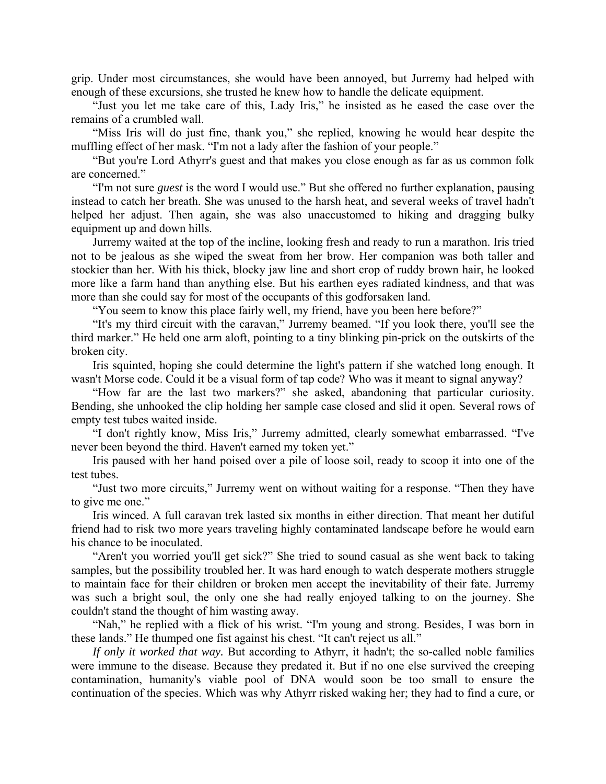grip. Under most circumstances, she would have been annoyed, but Jurremy had helped with enough of these excursions, she trusted he knew how to handle the delicate equipment.

"Just you let me take care of this, Lady Iris," he insisted as he eased the case over the remains of a crumbled wall.

"Miss Iris will do just fine, thank you," she replied, knowing he would hear despite the muffling effect of her mask. "I'm not a lady after the fashion of your people."

"But you're Lord Athyrr's guest and that makes you close enough as far as us common folk are concerned."

"I'm not sure *guest* is the word I would use." But she offered no further explanation, pausing instead to catch her breath. She was unused to the harsh heat, and several weeks of travel hadn't helped her adjust. Then again, she was also unaccustomed to hiking and dragging bulky equipment up and down hills.

Jurremy waited at the top of the incline, looking fresh and ready to run a marathon. Iris tried not to be jealous as she wiped the sweat from her brow. Her companion was both taller and stockier than her. With his thick, blocky jaw line and short crop of ruddy brown hair, he looked more like a farm hand than anything else. But his earthen eyes radiated kindness, and that was more than she could say for most of the occupants of this godforsaken land.

"You seem to know this place fairly well, my friend, have you been here before?"

"It's my third circuit with the caravan," Jurremy beamed. "If you look there, you'll see the third marker." He held one arm aloft, pointing to a tiny blinking pin-prick on the outskirts of the broken city.

Iris squinted, hoping she could determine the light's pattern if she watched long enough. It wasn't Morse code. Could it be a visual form of tap code? Who was it meant to signal anyway?

"How far are the last two markers?" she asked, abandoning that particular curiosity. Bending, she unhooked the clip holding her sample case closed and slid it open. Several rows of empty test tubes waited inside.

"I don't rightly know, Miss Iris," Jurremy admitted, clearly somewhat embarrassed. "I've never been beyond the third. Haven't earned my token yet."

Iris paused with her hand poised over a pile of loose soil, ready to scoop it into one of the test tubes.

"Just two more circuits," Jurremy went on without waiting for a response. "Then they have to give me one."

Iris winced. A full caravan trek lasted six months in either direction. That meant her dutiful friend had to risk two more years traveling highly contaminated landscape before he would earn his chance to be inoculated.

"Aren't you worried you'll get sick?" She tried to sound casual as she went back to taking samples, but the possibility troubled her. It was hard enough to watch desperate mothers struggle to maintain face for their children or broken men accept the inevitability of their fate. Jurremy was such a bright soul, the only one she had really enjoyed talking to on the journey. She couldn't stand the thought of him wasting away.

"Nah," he replied with a flick of his wrist. "I'm young and strong. Besides, I was born in these lands." He thumped one fist against his chest. "It can't reject us all."

*If only it worked that way.* But according to Athyrr, it hadn't; the so-called noble families were immune to the disease. Because they predated it. But if no one else survived the creeping contamination, humanity's viable pool of DNA would soon be too small to ensure the continuation of the species. Which was why Athyrr risked waking her; they had to find a cure, or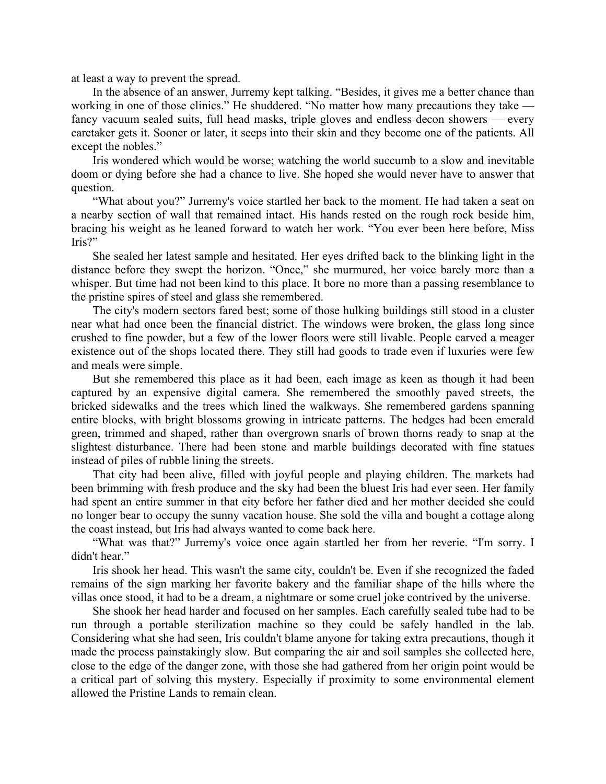at least a way to prevent the spread.

In the absence of an answer, Jurremy kept talking. "Besides, it gives me a better chance than working in one of those clinics." He shuddered. "No matter how many precautions they take fancy vacuum sealed suits, full head masks, triple gloves and endless decon showers — every caretaker gets it. Sooner or later, it seeps into their skin and they become one of the patients. All except the nobles."

Iris wondered which would be worse; watching the world succumb to a slow and inevitable doom or dying before she had a chance to live. She hoped she would never have to answer that question.

"What about you?" Jurremy's voice startled her back to the moment. He had taken a seat on a nearby section of wall that remained intact. His hands rested on the rough rock beside him, bracing his weight as he leaned forward to watch her work. "You ever been here before, Miss Iris?"

She sealed her latest sample and hesitated. Her eyes drifted back to the blinking light in the distance before they swept the horizon. "Once," she murmured, her voice barely more than a whisper. But time had not been kind to this place. It bore no more than a passing resemblance to the pristine spires of steel and glass she remembered.

The city's modern sectors fared best; some of those hulking buildings still stood in a cluster near what had once been the financial district. The windows were broken, the glass long since crushed to fine powder, but a few of the lower floors were still livable. People carved a meager existence out of the shops located there. They still had goods to trade even if luxuries were few and meals were simple.

But she remembered this place as it had been, each image as keen as though it had been captured by an expensive digital camera. She remembered the smoothly paved streets, the bricked sidewalks and the trees which lined the walkways. She remembered gardens spanning entire blocks, with bright blossoms growing in intricate patterns. The hedges had been emerald green, trimmed and shaped, rather than overgrown snarls of brown thorns ready to snap at the slightest disturbance. There had been stone and marble buildings decorated with fine statues instead of piles of rubble lining the streets.

That city had been alive, filled with joyful people and playing children. The markets had been brimming with fresh produce and the sky had been the bluest Iris had ever seen. Her family had spent an entire summer in that city before her father died and her mother decided she could no longer bear to occupy the sunny vacation house. She sold the villa and bought a cottage along the coast instead, but Iris had always wanted to come back here.

"What was that?" Jurremy's voice once again startled her from her reverie. "I'm sorry. I didn't hear."

Iris shook her head. This wasn't the same city, couldn't be. Even if she recognized the faded remains of the sign marking her favorite bakery and the familiar shape of the hills where the villas once stood, it had to be a dream, a nightmare or some cruel joke contrived by the universe.

She shook her head harder and focused on her samples. Each carefully sealed tube had to be run through a portable sterilization machine so they could be safely handled in the lab. Considering what she had seen, Iris couldn't blame anyone for taking extra precautions, though it made the process painstakingly slow. But comparing the air and soil samples she collected here, close to the edge of the danger zone, with those she had gathered from her origin point would be a critical part of solving this mystery. Especially if proximity to some environmental element allowed the Pristine Lands to remain clean.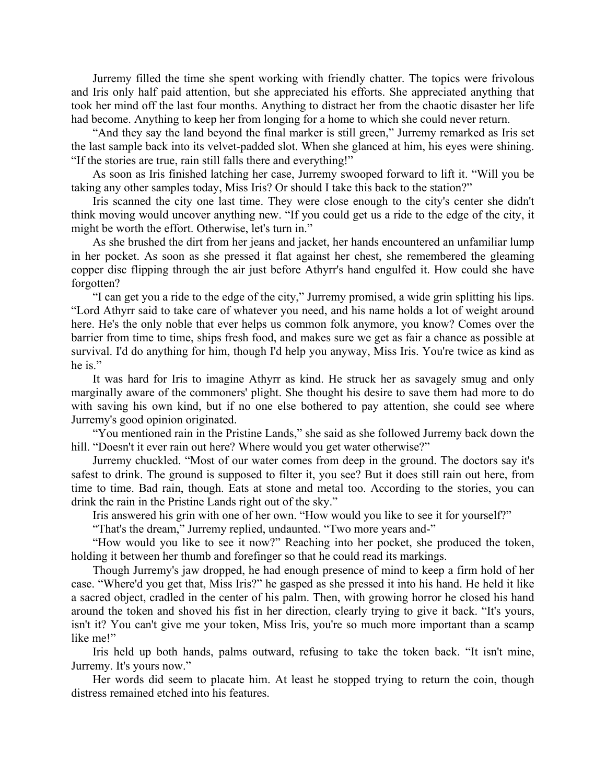Jurremy filled the time she spent working with friendly chatter. The topics were frivolous and Iris only half paid attention, but she appreciated his efforts. She appreciated anything that took her mind off the last four months. Anything to distract her from the chaotic disaster her life had become. Anything to keep her from longing for a home to which she could never return.

"And they say the land beyond the final marker is still green," Jurremy remarked as Iris set the last sample back into its velvet-padded slot. When she glanced at him, his eyes were shining. "If the stories are true, rain still falls there and everything!"

As soon as Iris finished latching her case, Jurremy swooped forward to lift it. "Will you be taking any other samples today, Miss Iris? Or should I take this back to the station?"

Iris scanned the city one last time. They were close enough to the city's center she didn't think moving would uncover anything new. "If you could get us a ride to the edge of the city, it might be worth the effort. Otherwise, let's turn in."

As she brushed the dirt from her jeans and jacket, her hands encountered an unfamiliar lump in her pocket. As soon as she pressed it flat against her chest, she remembered the gleaming copper disc flipping through the air just before Athyrr's hand engulfed it. How could she have forgotten?

"I can get you a ride to the edge of the city," Jurremy promised, a wide grin splitting his lips. "Lord Athyrr said to take care of whatever you need, and his name holds a lot of weight around here. He's the only noble that ever helps us common folk anymore, you know? Comes over the barrier from time to time, ships fresh food, and makes sure we get as fair a chance as possible at survival. I'd do anything for him, though I'd help you anyway, Miss Iris. You're twice as kind as he is."

It was hard for Iris to imagine Athyrr as kind. He struck her as savagely smug and only marginally aware of the commoners' plight. She thought his desire to save them had more to do with saving his own kind, but if no one else bothered to pay attention, she could see where Jurremy's good opinion originated.

"You mentioned rain in the Pristine Lands," she said as she followed Jurremy back down the hill. "Doesn't it ever rain out here? Where would you get water otherwise?"

Jurremy chuckled. "Most of our water comes from deep in the ground. The doctors say it's safest to drink. The ground is supposed to filter it, you see? But it does still rain out here, from time to time. Bad rain, though. Eats at stone and metal too. According to the stories, you can drink the rain in the Pristine Lands right out of the sky."

Iris answered his grin with one of her own. "How would you like to see it for yourself?"

"That's the dream," Jurremy replied, undaunted. "Two more years and-"

"How would you like to see it now?" Reaching into her pocket, she produced the token, holding it between her thumb and forefinger so that he could read its markings.

Though Jurremy's jaw dropped, he had enough presence of mind to keep a firm hold of her case. "Where'd you get that, Miss Iris?" he gasped as she pressed it into his hand. He held it like a sacred object, cradled in the center of his palm. Then, with growing horror he closed his hand around the token and shoved his fist in her direction, clearly trying to give it back. "It's yours, isn't it? You can't give me your token, Miss Iris, you're so much more important than a scamp like me!"

Iris held up both hands, palms outward, refusing to take the token back. "It isn't mine, Jurremy. It's yours now."

Her words did seem to placate him. At least he stopped trying to return the coin, though distress remained etched into his features.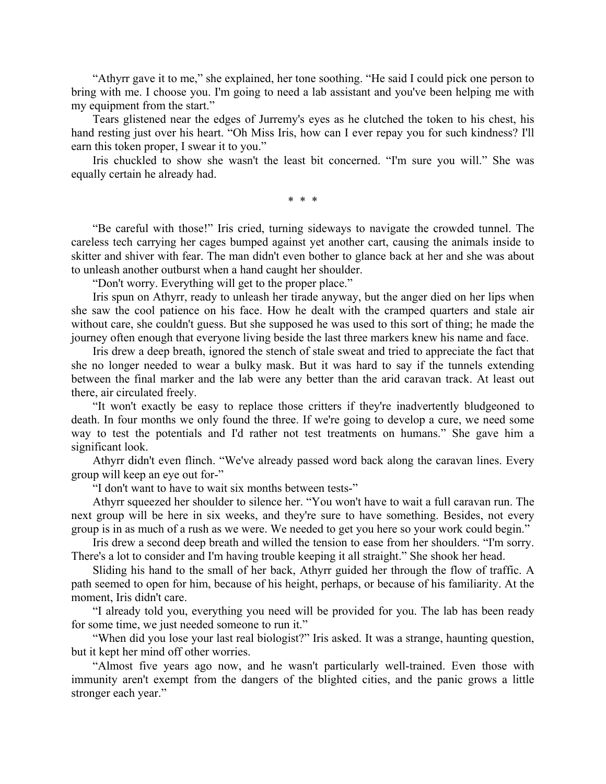"Athyrr gave it to me," she explained, her tone soothing. "He said I could pick one person to bring with me. I choose you. I'm going to need a lab assistant and you've been helping me with my equipment from the start."

Tears glistened near the edges of Jurremy's eyes as he clutched the token to his chest, his hand resting just over his heart. "Oh Miss Iris, how can I ever repay you for such kindness? I'll earn this token proper, I swear it to you."

Iris chuckled to show she wasn't the least bit concerned. "I'm sure you will." She was equally certain he already had.

\* \* \*

"Be careful with those!" Iris cried, turning sideways to navigate the crowded tunnel. The careless tech carrying her cages bumped against yet another cart, causing the animals inside to skitter and shiver with fear. The man didn't even bother to glance back at her and she was about to unleash another outburst when a hand caught her shoulder.

"Don't worry. Everything will get to the proper place."

Iris spun on Athyrr, ready to unleash her tirade anyway, but the anger died on her lips when she saw the cool patience on his face. How he dealt with the cramped quarters and stale air without care, she couldn't guess. But she supposed he was used to this sort of thing; he made the journey often enough that everyone living beside the last three markers knew his name and face.

Iris drew a deep breath, ignored the stench of stale sweat and tried to appreciate the fact that she no longer needed to wear a bulky mask. But it was hard to say if the tunnels extending between the final marker and the lab were any better than the arid caravan track. At least out there, air circulated freely.

"It won't exactly be easy to replace those critters if they're inadvertently bludgeoned to death. In four months we only found the three. If we're going to develop a cure, we need some way to test the potentials and I'd rather not test treatments on humans." She gave him a significant look.

Athyrr didn't even flinch. "We've already passed word back along the caravan lines. Every group will keep an eye out for-"

"I don't want to have to wait six months between tests-"

Athyrr squeezed her shoulder to silence her. "You won't have to wait a full caravan run. The next group will be here in six weeks, and they're sure to have something. Besides, not every group is in as much of a rush as we were. We needed to get you here so your work could begin."

Iris drew a second deep breath and willed the tension to ease from her shoulders. "I'm sorry. There's a lot to consider and I'm having trouble keeping it all straight." She shook her head.

Sliding his hand to the small of her back, Athyrr guided her through the flow of traffic. A path seemed to open for him, because of his height, perhaps, or because of his familiarity. At the moment, Iris didn't care.

"I already told you, everything you need will be provided for you. The lab has been ready for some time, we just needed someone to run it."

"When did you lose your last real biologist?" Iris asked. It was a strange, haunting question, but it kept her mind off other worries.

"Almost five years ago now, and he wasn't particularly well-trained. Even those with immunity aren't exempt from the dangers of the blighted cities, and the panic grows a little stronger each year."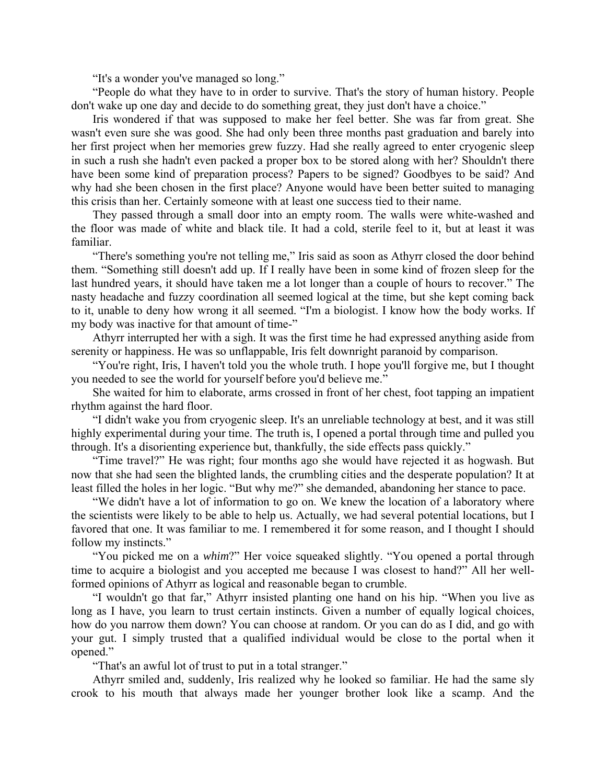"It's a wonder you've managed so long."

"People do what they have to in order to survive. That's the story of human history. People don't wake up one day and decide to do something great, they just don't have a choice."

Iris wondered if that was supposed to make her feel better. She was far from great. She wasn't even sure she was good. She had only been three months past graduation and barely into her first project when her memories grew fuzzy. Had she really agreed to enter cryogenic sleep in such a rush she hadn't even packed a proper box to be stored along with her? Shouldn't there have been some kind of preparation process? Papers to be signed? Goodbyes to be said? And why had she been chosen in the first place? Anyone would have been better suited to managing this crisis than her. Certainly someone with at least one success tied to their name.

They passed through a small door into an empty room. The walls were white-washed and the floor was made of white and black tile. It had a cold, sterile feel to it, but at least it was familiar.

"There's something you're not telling me," Iris said as soon as Athyrr closed the door behind them. "Something still doesn't add up. If I really have been in some kind of frozen sleep for the last hundred years, it should have taken me a lot longer than a couple of hours to recover." The nasty headache and fuzzy coordination all seemed logical at the time, but she kept coming back to it, unable to deny how wrong it all seemed. "I'm a biologist. I know how the body works. If my body was inactive for that amount of time-"

Athyrr interrupted her with a sigh. It was the first time he had expressed anything aside from serenity or happiness. He was so unflappable, Iris felt downright paranoid by comparison.

"You're right, Iris, I haven't told you the whole truth. I hope you'll forgive me, but I thought you needed to see the world for yourself before you'd believe me."

She waited for him to elaborate, arms crossed in front of her chest, foot tapping an impatient rhythm against the hard floor.

"I didn't wake you from cryogenic sleep. It's an unreliable technology at best, and it was still highly experimental during your time. The truth is, I opened a portal through time and pulled you through. It's a disorienting experience but, thankfully, the side effects pass quickly."

"Time travel?" He was right; four months ago she would have rejected it as hogwash. But now that she had seen the blighted lands, the crumbling cities and the desperate population? It at least filled the holes in her logic. "But why me?" she demanded, abandoning her stance to pace.

"We didn't have a lot of information to go on. We knew the location of a laboratory where the scientists were likely to be able to help us. Actually, we had several potential locations, but I favored that one. It was familiar to me. I remembered it for some reason, and I thought I should follow my instincts."

"You picked me on a *whim*?" Her voice squeaked slightly. "You opened a portal through time to acquire a biologist and you accepted me because I was closest to hand?" All her wellformed opinions of Athyrr as logical and reasonable began to crumble.

"I wouldn't go that far," Athyrr insisted planting one hand on his hip. "When you live as long as I have, you learn to trust certain instincts. Given a number of equally logical choices, how do you narrow them down? You can choose at random. Or you can do as I did, and go with your gut. I simply trusted that a qualified individual would be close to the portal when it opened."

"That's an awful lot of trust to put in a total stranger."

Athyrr smiled and, suddenly, Iris realized why he looked so familiar. He had the same sly crook to his mouth that always made her younger brother look like a scamp. And the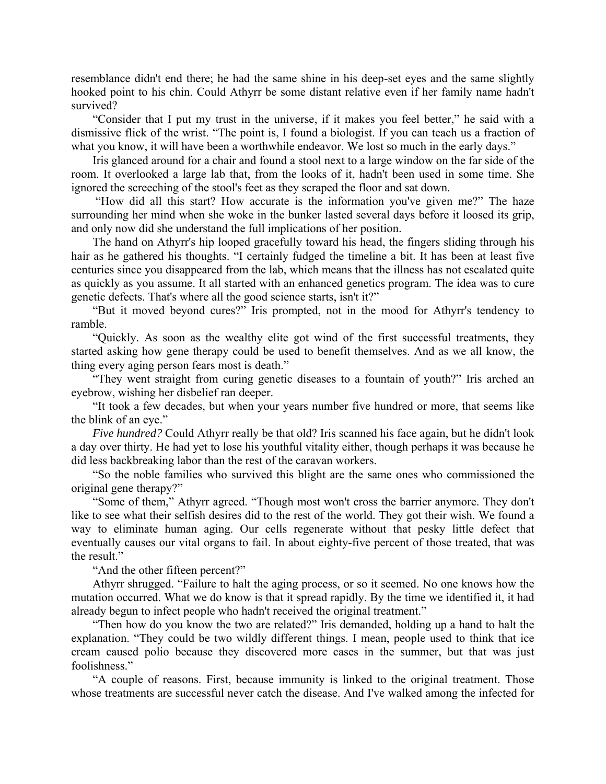resemblance didn't end there; he had the same shine in his deep-set eyes and the same slightly hooked point to his chin. Could Athyrr be some distant relative even if her family name hadn't survived?

"Consider that I put my trust in the universe, if it makes you feel better," he said with a dismissive flick of the wrist. "The point is, I found a biologist. If you can teach us a fraction of what you know, it will have been a worthwhile endeavor. We lost so much in the early days."

Iris glanced around for a chair and found a stool next to a large window on the far side of the room. It overlooked a large lab that, from the looks of it, hadn't been used in some time. She ignored the screeching of the stool's feet as they scraped the floor and sat down.

 "How did all this start? How accurate is the information you've given me?" The haze surrounding her mind when she woke in the bunker lasted several days before it loosed its grip, and only now did she understand the full implications of her position.

The hand on Athyrr's hip looped gracefully toward his head, the fingers sliding through his hair as he gathered his thoughts. "I certainly fudged the timeline a bit. It has been at least five centuries since you disappeared from the lab, which means that the illness has not escalated quite as quickly as you assume. It all started with an enhanced genetics program. The idea was to cure genetic defects. That's where all the good science starts, isn't it?"

"But it moved beyond cures?" Iris prompted, not in the mood for Athyrr's tendency to ramble.

"Quickly. As soon as the wealthy elite got wind of the first successful treatments, they started asking how gene therapy could be used to benefit themselves. And as we all know, the thing every aging person fears most is death."

"They went straight from curing genetic diseases to a fountain of youth?" Iris arched an eyebrow, wishing her disbelief ran deeper.

"It took a few decades, but when your years number five hundred or more, that seems like the blink of an eye."

*Five hundred?* Could Athyrr really be that old? Iris scanned his face again, but he didn't look a day over thirty. He had yet to lose his youthful vitality either, though perhaps it was because he did less backbreaking labor than the rest of the caravan workers.

"So the noble families who survived this blight are the same ones who commissioned the original gene therapy?"

"Some of them," Athyrr agreed. "Though most won't cross the barrier anymore. They don't like to see what their selfish desires did to the rest of the world. They got their wish. We found a way to eliminate human aging. Our cells regenerate without that pesky little defect that eventually causes our vital organs to fail. In about eighty-five percent of those treated, that was the result."

"And the other fifteen percent?"

Athyrr shrugged. "Failure to halt the aging process, or so it seemed. No one knows how the mutation occurred. What we do know is that it spread rapidly. By the time we identified it, it had already begun to infect people who hadn't received the original treatment."

"Then how do you know the two are related?" Iris demanded, holding up a hand to halt the explanation. "They could be two wildly different things. I mean, people used to think that ice cream caused polio because they discovered more cases in the summer, but that was just foolishness."

"A couple of reasons. First, because immunity is linked to the original treatment. Those whose treatments are successful never catch the disease. And I've walked among the infected for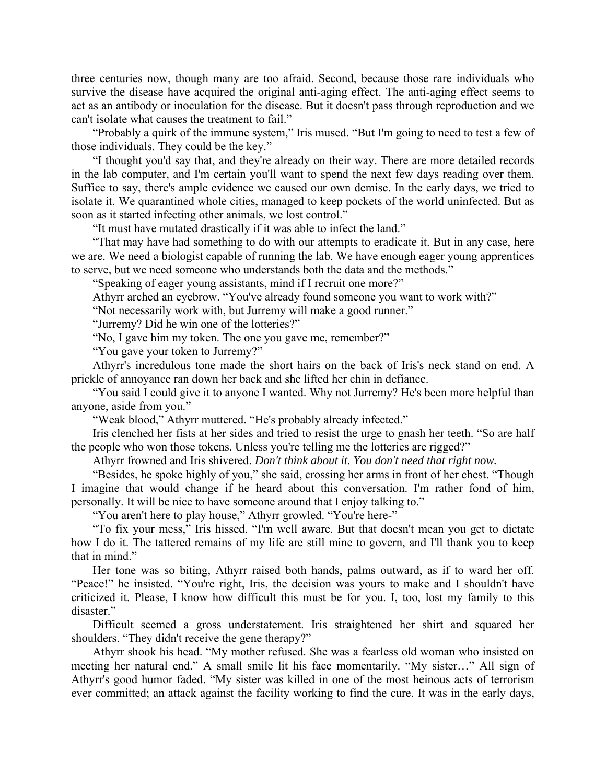three centuries now, though many are too afraid. Second, because those rare individuals who survive the disease have acquired the original anti-aging effect. The anti-aging effect seems to act as an antibody or inoculation for the disease. But it doesn't pass through reproduction and we can't isolate what causes the treatment to fail."

"Probably a quirk of the immune system," Iris mused. "But I'm going to need to test a few of those individuals. They could be the key."

"I thought you'd say that, and they're already on their way. There are more detailed records in the lab computer, and I'm certain you'll want to spend the next few days reading over them. Suffice to say, there's ample evidence we caused our own demise. In the early days, we tried to isolate it. We quarantined whole cities, managed to keep pockets of the world uninfected. But as soon as it started infecting other animals, we lost control."

"It must have mutated drastically if it was able to infect the land."

"That may have had something to do with our attempts to eradicate it. But in any case, here we are. We need a biologist capable of running the lab. We have enough eager young apprentices to serve, but we need someone who understands both the data and the methods."

"Speaking of eager young assistants, mind if I recruit one more?"

Athyrr arched an eyebrow. "You've already found someone you want to work with?"

"Not necessarily work with, but Jurremy will make a good runner."

"Jurremy? Did he win one of the lotteries?"

"No, I gave him my token. The one you gave me, remember?"

"You gave your token to Jurremy?"

Athyrr's incredulous tone made the short hairs on the back of Iris's neck stand on end. A prickle of annoyance ran down her back and she lifted her chin in defiance.

"You said I could give it to anyone I wanted. Why not Jurremy? He's been more helpful than anyone, aside from you."

"Weak blood," Athyrr muttered. "He's probably already infected."

Iris clenched her fists at her sides and tried to resist the urge to gnash her teeth. "So are half the people who won those tokens. Unless you're telling me the lotteries are rigged?"

Athyrr frowned and Iris shivered. *Don't think about it. You don't need that right now.*

"Besides, he spoke highly of you," she said, crossing her arms in front of her chest. "Though I imagine that would change if he heard about this conversation. I'm rather fond of him, personally. It will be nice to have someone around that I enjoy talking to."

"You aren't here to play house," Athyrr growled. "You're here-"

"To fix your mess," Iris hissed. "I'm well aware. But that doesn't mean you get to dictate how I do it. The tattered remains of my life are still mine to govern, and I'll thank you to keep that in mind."

Her tone was so biting, Athyrr raised both hands, palms outward, as if to ward her off. "Peace!" he insisted. "You're right, Iris, the decision was yours to make and I shouldn't have criticized it. Please, I know how difficult this must be for you. I, too, lost my family to this disaster."

Difficult seemed a gross understatement. Iris straightened her shirt and squared her shoulders. "They didn't receive the gene therapy?"

Athyrr shook his head. "My mother refused. She was a fearless old woman who insisted on meeting her natural end." A small smile lit his face momentarily. "My sister…" All sign of Athyrr's good humor faded. "My sister was killed in one of the most heinous acts of terrorism ever committed; an attack against the facility working to find the cure. It was in the early days,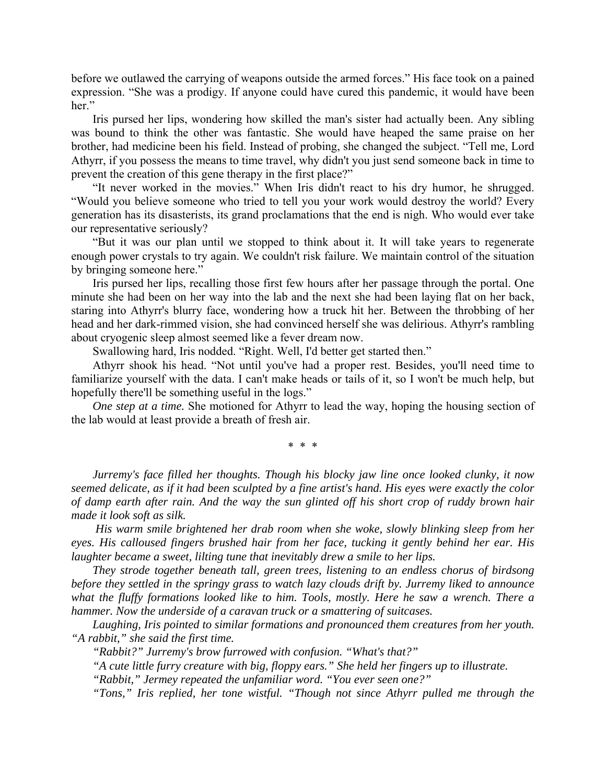before we outlawed the carrying of weapons outside the armed forces." His face took on a pained expression. "She was a prodigy. If anyone could have cured this pandemic, it would have been her."

Iris pursed her lips, wondering how skilled the man's sister had actually been. Any sibling was bound to think the other was fantastic. She would have heaped the same praise on her brother, had medicine been his field. Instead of probing, she changed the subject. "Tell me, Lord Athyrr, if you possess the means to time travel, why didn't you just send someone back in time to prevent the creation of this gene therapy in the first place?"

"It never worked in the movies." When Iris didn't react to his dry humor, he shrugged. "Would you believe someone who tried to tell you your work would destroy the world? Every generation has its disasterists, its grand proclamations that the end is nigh. Who would ever take our representative seriously?

"But it was our plan until we stopped to think about it. It will take years to regenerate enough power crystals to try again. We couldn't risk failure. We maintain control of the situation by bringing someone here."

Iris pursed her lips, recalling those first few hours after her passage through the portal. One minute she had been on her way into the lab and the next she had been laying flat on her back, staring into Athyrr's blurry face, wondering how a truck hit her. Between the throbbing of her head and her dark-rimmed vision, she had convinced herself she was delirious. Athyrr's rambling about cryogenic sleep almost seemed like a fever dream now.

Swallowing hard, Iris nodded. "Right. Well, I'd better get started then."

Athyrr shook his head. "Not until you've had a proper rest. Besides, you'll need time to familiarize yourself with the data. I can't make heads or tails of it, so I won't be much help, but hopefully there'll be something useful in the logs."

*One step at a time.* She motioned for Athyrr to lead the way, hoping the housing section of the lab would at least provide a breath of fresh air.

\* \* \*

*Jurremy's face filled her thoughts. Though his blocky jaw line once looked clunky, it now seemed delicate, as if it had been sculpted by a fine artist's hand. His eyes were exactly the color of damp earth after rain. And the way the sun glinted off his short crop of ruddy brown hair made it look soft as silk.* 

 *His warm smile brightened her drab room when she woke, slowly blinking sleep from her eyes. His calloused fingers brushed hair from her face, tucking it gently behind her ear. His laughter became a sweet, lilting tune that inevitably drew a smile to her lips.* 

*They strode together beneath tall, green trees, listening to an endless chorus of birdsong before they settled in the springy grass to watch lazy clouds drift by. Jurremy liked to announce what the fluffy formations looked like to him. Tools, mostly. Here he saw a wrench. There a hammer. Now the underside of a caravan truck or a smattering of suitcases.* 

*Laughing, Iris pointed to similar formations and pronounced them creatures from her youth. "A rabbit," she said the first time.* 

*"Rabbit?" Jurremy's brow furrowed with confusion. "What's that?"* 

*"A cute little furry creature with big, floppy ears." She held her fingers up to illustrate.* 

*"Rabbit," Jermey repeated the unfamiliar word. "You ever seen one?"* 

*"Tons," Iris replied, her tone wistful. "Though not since Athyrr pulled me through the*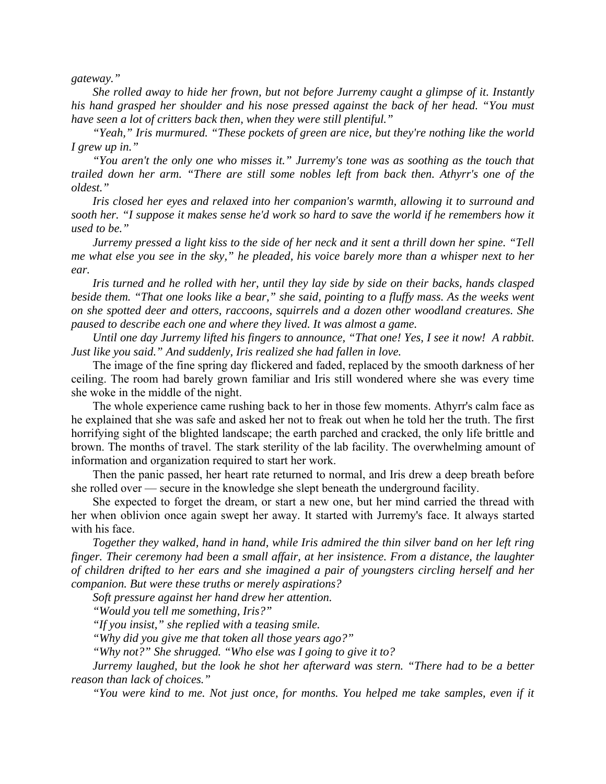*gateway."* 

*She rolled away to hide her frown, but not before Jurremy caught a glimpse of it. Instantly his hand grasped her shoulder and his nose pressed against the back of her head. "You must have seen a lot of critters back then, when they were still plentiful."* 

*"Yeah," Iris murmured. "These pockets of green are nice, but they're nothing like the world I grew up in."* 

*"You aren't the only one who misses it." Jurremy's tone was as soothing as the touch that trailed down her arm. "There are still some nobles left from back then. Athyrr's one of the oldest."* 

*Iris closed her eyes and relaxed into her companion's warmth, allowing it to surround and sooth her. "I suppose it makes sense he'd work so hard to save the world if he remembers how it used to be."* 

*Jurremy pressed a light kiss to the side of her neck and it sent a thrill down her spine. "Tell me what else you see in the sky," he pleaded, his voice barely more than a whisper next to her ear.* 

*Iris turned and he rolled with her, until they lay side by side on their backs, hands clasped beside them.* "That one looks like a bear," she said, pointing to a fluffy mass. As the weeks went *on she spotted deer and otters, raccoons, squirrels and a dozen other woodland creatures. She paused to describe each one and where they lived. It was almost a game.* 

*Until one day Jurremy lifted his fingers to announce, "That one! Yes, I see it now! A rabbit. Just like you said." And suddenly, Iris realized she had fallen in love.* 

The image of the fine spring day flickered and faded, replaced by the smooth darkness of her ceiling. The room had barely grown familiar and Iris still wondered where she was every time she woke in the middle of the night.

The whole experience came rushing back to her in those few moments. Athyrr's calm face as he explained that she was safe and asked her not to freak out when he told her the truth. The first horrifying sight of the blighted landscape; the earth parched and cracked, the only life brittle and brown. The months of travel. The stark sterility of the lab facility. The overwhelming amount of information and organization required to start her work.

Then the panic passed, her heart rate returned to normal, and Iris drew a deep breath before she rolled over — secure in the knowledge she slept beneath the underground facility.

She expected to forget the dream, or start a new one, but her mind carried the thread with her when oblivion once again swept her away. It started with Jurremy's face. It always started with his face.

*Together they walked, hand in hand, while Iris admired the thin silver band on her left ring finger. Their ceremony had been a small affair, at her insistence. From a distance, the laughter of children drifted to her ears and she imagined a pair of youngsters circling herself and her companion. But were these truths or merely aspirations?* 

*Soft pressure against her hand drew her attention.* 

*"Would you tell me something, Iris?"* 

*"If you insist," she replied with a teasing smile.* 

*"Why did you give me that token all those years ago?"* 

*"Why not?" She shrugged. "Who else was I going to give it to?* 

*Jurremy laughed, but the look he shot her afterward was stern. "There had to be a better reason than lack of choices."* 

*"You were kind to me. Not just once, for months. You helped me take samples, even if it*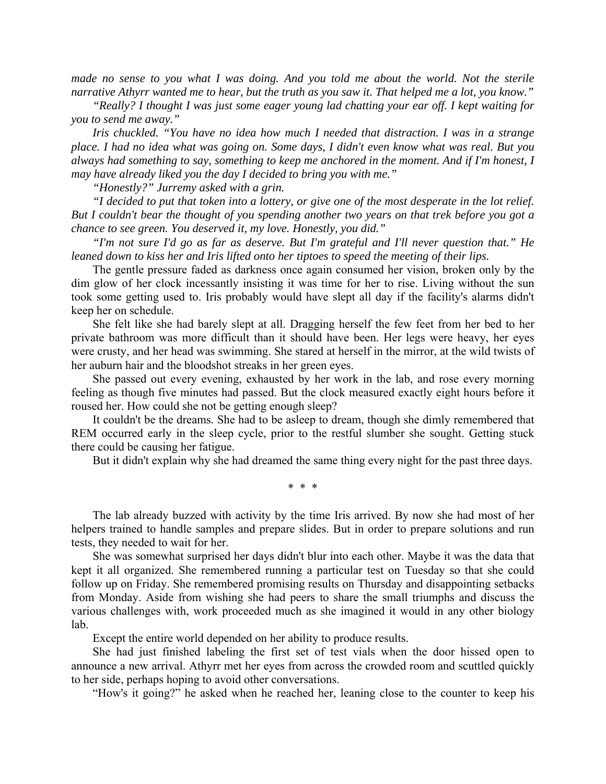*made no sense to you what I was doing. And you told me about the world. Not the sterile narrative Athyrr wanted me to hear, but the truth as you saw it. That helped me a lot, you know."* 

*"Really? I thought I was just some eager young lad chatting your ear off. I kept waiting for you to send me away."* 

*Iris chuckled. "You have no idea how much I needed that distraction. I was in a strange place. I had no idea what was going on. Some days, I didn't even know what was real. But you always had something to say, something to keep me anchored in the moment. And if I'm honest, I may have already liked you the day I decided to bring you with me."* 

*"Honestly?" Jurremy asked with a grin.* 

*"I decided to put that token into a lottery, or give one of the most desperate in the lot relief. But I couldn't bear the thought of you spending another two years on that trek before you got a chance to see green. You deserved it, my love. Honestly, you did."* 

*"I'm not sure I'd go as far as deserve. But I'm grateful and I'll never question that." He leaned down to kiss her and Iris lifted onto her tiptoes to speed the meeting of their lips.*

The gentle pressure faded as darkness once again consumed her vision, broken only by the dim glow of her clock incessantly insisting it was time for her to rise. Living without the sun took some getting used to. Iris probably would have slept all day if the facility's alarms didn't keep her on schedule.

She felt like she had barely slept at all. Dragging herself the few feet from her bed to her private bathroom was more difficult than it should have been. Her legs were heavy, her eyes were crusty, and her head was swimming. She stared at herself in the mirror, at the wild twists of her auburn hair and the bloodshot streaks in her green eyes.

She passed out every evening, exhausted by her work in the lab, and rose every morning feeling as though five minutes had passed. But the clock measured exactly eight hours before it roused her. How could she not be getting enough sleep?

It couldn't be the dreams. She had to be asleep to dream, though she dimly remembered that REM occurred early in the sleep cycle, prior to the restful slumber she sought. Getting stuck there could be causing her fatigue.

But it didn't explain why she had dreamed the same thing every night for the past three days.

\* \* \*

The lab already buzzed with activity by the time Iris arrived. By now she had most of her helpers trained to handle samples and prepare slides. But in order to prepare solutions and run tests, they needed to wait for her.

She was somewhat surprised her days didn't blur into each other. Maybe it was the data that kept it all organized. She remembered running a particular test on Tuesday so that she could follow up on Friday. She remembered promising results on Thursday and disappointing setbacks from Monday. Aside from wishing she had peers to share the small triumphs and discuss the various challenges with, work proceeded much as she imagined it would in any other biology lab.

Except the entire world depended on her ability to produce results.

She had just finished labeling the first set of test vials when the door hissed open to announce a new arrival. Athyrr met her eyes from across the crowded room and scuttled quickly to her side, perhaps hoping to avoid other conversations.

"How's it going?" he asked when he reached her, leaning close to the counter to keep his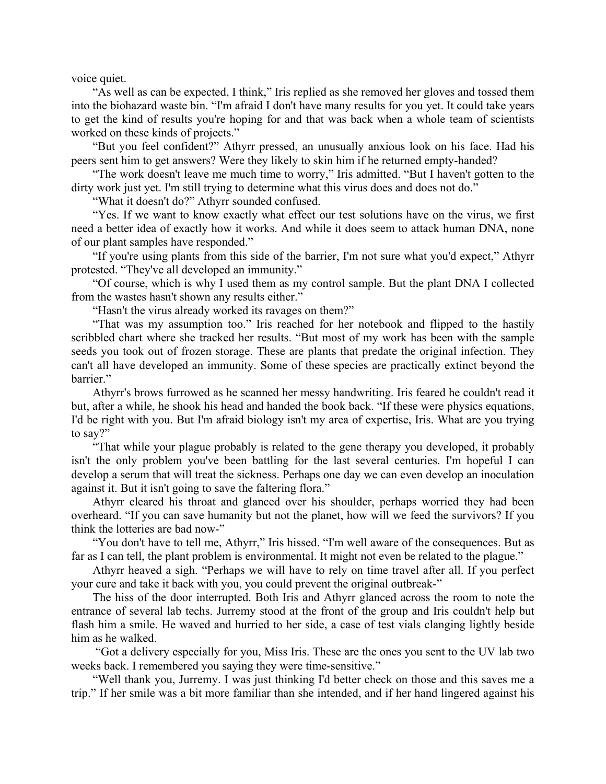voice quiet.

"As well as can be expected, I think," Iris replied as she removed her gloves and tossed them into the biohazard waste bin. "I'm afraid I don't have many results for you yet. It could take years to get the kind of results you're hoping for and that was back when a whole team of scientists worked on these kinds of projects."

"But you feel confident?" Athyrr pressed, an unusually anxious look on his face. Had his peers sent him to get answers? Were they likely to skin him if he returned empty-handed?

"The work doesn't leave me much time to worry," Iris admitted. "But I haven't gotten to the dirty work just yet. I'm still trying to determine what this virus does and does not do."

"What it doesn't do?" Athyrr sounded confused.

"Yes. If we want to know exactly what effect our test solutions have on the virus, we first need a better idea of exactly how it works. And while it does seem to attack human DNA, none of our plant samples have responded."

"If you're using plants from this side of the barrier, I'm not sure what you'd expect," Athyrr protested. "They've all developed an immunity."

"Of course, which is why I used them as my control sample. But the plant DNA I collected from the wastes hasn't shown any results either."

"Hasn't the virus already worked its ravages on them?"

"That was my assumption too." Iris reached for her notebook and flipped to the hastily scribbled chart where she tracked her results. "But most of my work has been with the sample seeds you took out of frozen storage. These are plants that predate the original infection. They can't all have developed an immunity. Some of these species are practically extinct beyond the barrier."

Athyrr's brows furrowed as he scanned her messy handwriting. Iris feared he couldn't read it but, after a while, he shook his head and handed the book back. "If these were physics equations, I'd be right with you. But I'm afraid biology isn't my area of expertise, Iris. What are you trying to say?"

"That while your plague probably is related to the gene therapy you developed, it probably isn't the only problem you've been battling for the last several centuries. I'm hopeful I can develop a serum that will treat the sickness. Perhaps one day we can even develop an inoculation against it. But it isn't going to save the faltering flora."

Athyrr cleared his throat and glanced over his shoulder, perhaps worried they had been overheard. "If you can save humanity but not the planet, how will we feed the survivors? If you think the lotteries are bad now-"

"You don't have to tell me, Athyrr," Iris hissed. "I'm well aware of the consequences. But as far as I can tell, the plant problem is environmental. It might not even be related to the plague."

Athyrr heaved a sigh. "Perhaps we will have to rely on time travel after all. If you perfect your cure and take it back with you, you could prevent the original outbreak-"

The hiss of the door interrupted. Both Iris and Athyrr glanced across the room to note the entrance of several lab techs. Jurremy stood at the front of the group and Iris couldn't help but flash him a smile. He waved and hurried to her side, a case of test vials clanging lightly beside him as he walked.

 "Got a delivery especially for you, Miss Iris. These are the ones you sent to the UV lab two weeks back. I remembered you saying they were time-sensitive."

"Well thank you, Jurremy. I was just thinking I'd better check on those and this saves me a trip." If her smile was a bit more familiar than she intended, and if her hand lingered against his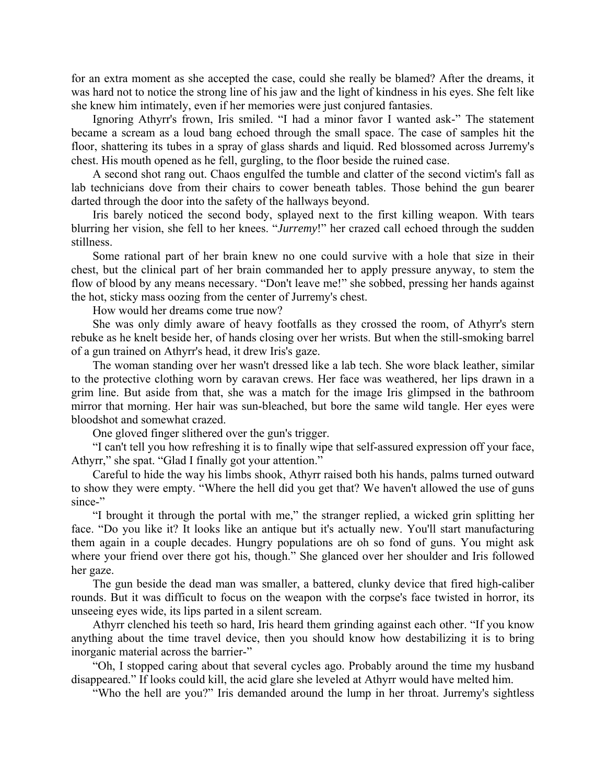for an extra moment as she accepted the case, could she really be blamed? After the dreams, it was hard not to notice the strong line of his jaw and the light of kindness in his eyes. She felt like she knew him intimately, even if her memories were just conjured fantasies.

Ignoring Athyrr's frown, Iris smiled. "I had a minor favor I wanted ask-" The statement became a scream as a loud bang echoed through the small space. The case of samples hit the floor, shattering its tubes in a spray of glass shards and liquid. Red blossomed across Jurremy's chest. His mouth opened as he fell, gurgling, to the floor beside the ruined case.

A second shot rang out. Chaos engulfed the tumble and clatter of the second victim's fall as lab technicians dove from their chairs to cower beneath tables. Those behind the gun bearer darted through the door into the safety of the hallways beyond.

Iris barely noticed the second body, splayed next to the first killing weapon. With tears blurring her vision, she fell to her knees. "*Jurremy*!" her crazed call echoed through the sudden stillness.

Some rational part of her brain knew no one could survive with a hole that size in their chest, but the clinical part of her brain commanded her to apply pressure anyway, to stem the flow of blood by any means necessary. "Don't leave me!" she sobbed, pressing her hands against the hot, sticky mass oozing from the center of Jurremy's chest.

How would her dreams come true now?

She was only dimly aware of heavy footfalls as they crossed the room, of Athyrr's stern rebuke as he knelt beside her, of hands closing over her wrists. But when the still-smoking barrel of a gun trained on Athyrr's head, it drew Iris's gaze.

The woman standing over her wasn't dressed like a lab tech. She wore black leather, similar to the protective clothing worn by caravan crews. Her face was weathered, her lips drawn in a grim line. But aside from that, she was a match for the image Iris glimpsed in the bathroom mirror that morning. Her hair was sun-bleached, but bore the same wild tangle. Her eyes were bloodshot and somewhat crazed.

One gloved finger slithered over the gun's trigger.

"I can't tell you how refreshing it is to finally wipe that self-assured expression off your face, Athyrr," she spat. "Glad I finally got your attention."

Careful to hide the way his limbs shook, Athyrr raised both his hands, palms turned outward to show they were empty. "Where the hell did you get that? We haven't allowed the use of guns since-"

"I brought it through the portal with me," the stranger replied, a wicked grin splitting her face. "Do you like it? It looks like an antique but it's actually new. You'll start manufacturing them again in a couple decades. Hungry populations are oh so fond of guns. You might ask where your friend over there got his, though." She glanced over her shoulder and Iris followed her gaze.

The gun beside the dead man was smaller, a battered, clunky device that fired high-caliber rounds. But it was difficult to focus on the weapon with the corpse's face twisted in horror, its unseeing eyes wide, its lips parted in a silent scream.

Athyrr clenched his teeth so hard, Iris heard them grinding against each other. "If you know anything about the time travel device, then you should know how destabilizing it is to bring inorganic material across the barrier-"

"Oh, I stopped caring about that several cycles ago. Probably around the time my husband disappeared." If looks could kill, the acid glare she leveled at Athyrr would have melted him.

"Who the hell are you?" Iris demanded around the lump in her throat. Jurremy's sightless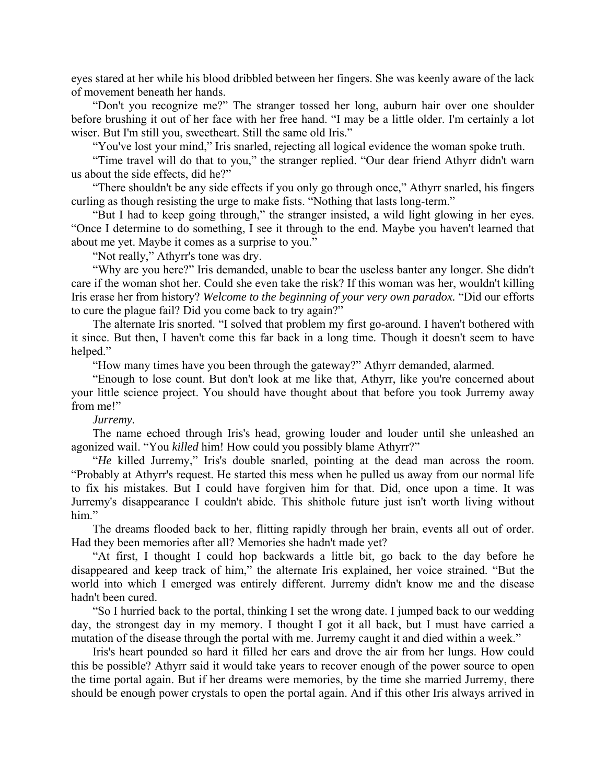eyes stared at her while his blood dribbled between her fingers. She was keenly aware of the lack of movement beneath her hands.

"Don't you recognize me?" The stranger tossed her long, auburn hair over one shoulder before brushing it out of her face with her free hand. "I may be a little older. I'm certainly a lot wiser. But I'm still you, sweetheart. Still the same old Iris."

"You've lost your mind," Iris snarled, rejecting all logical evidence the woman spoke truth.

"Time travel will do that to you," the stranger replied. "Our dear friend Athyrr didn't warn us about the side effects, did he?"

"There shouldn't be any side effects if you only go through once," Athyrr snarled, his fingers curling as though resisting the urge to make fists. "Nothing that lasts long-term."

"But I had to keep going through," the stranger insisted, a wild light glowing in her eyes. "Once I determine to do something, I see it through to the end. Maybe you haven't learned that about me yet. Maybe it comes as a surprise to you."

"Not really," Athyrr's tone was dry.

"Why are you here?" Iris demanded, unable to bear the useless banter any longer. She didn't care if the woman shot her. Could she even take the risk? If this woman was her, wouldn't killing Iris erase her from history? *Welcome to the beginning of your very own paradox.* "Did our efforts to cure the plague fail? Did you come back to try again?"

The alternate Iris snorted. "I solved that problem my first go-around. I haven't bothered with it since. But then, I haven't come this far back in a long time. Though it doesn't seem to have helped."

"How many times have you been through the gateway?" Athyrr demanded, alarmed.

"Enough to lose count. But don't look at me like that, Athyrr, like you're concerned about your little science project. You should have thought about that before you took Jurremy away from me!"

## *Jurremy.*

The name echoed through Iris's head, growing louder and louder until she unleashed an agonized wail. "You *killed* him! How could you possibly blame Athyrr?"

"*He* killed Jurremy," Iris's double snarled, pointing at the dead man across the room. "Probably at Athyrr's request. He started this mess when he pulled us away from our normal life to fix his mistakes. But I could have forgiven him for that. Did, once upon a time. It was Jurremy's disappearance I couldn't abide. This shithole future just isn't worth living without him."

The dreams flooded back to her, flitting rapidly through her brain, events all out of order. Had they been memories after all? Memories she hadn't made yet?

"At first, I thought I could hop backwards a little bit, go back to the day before he disappeared and keep track of him," the alternate Iris explained, her voice strained. "But the world into which I emerged was entirely different. Jurremy didn't know me and the disease hadn't been cured.

"So I hurried back to the portal, thinking I set the wrong date. I jumped back to our wedding day, the strongest day in my memory. I thought I got it all back, but I must have carried a mutation of the disease through the portal with me. Jurremy caught it and died within a week."

Iris's heart pounded so hard it filled her ears and drove the air from her lungs. How could this be possible? Athyrr said it would take years to recover enough of the power source to open the time portal again. But if her dreams were memories, by the time she married Jurremy, there should be enough power crystals to open the portal again. And if this other Iris always arrived in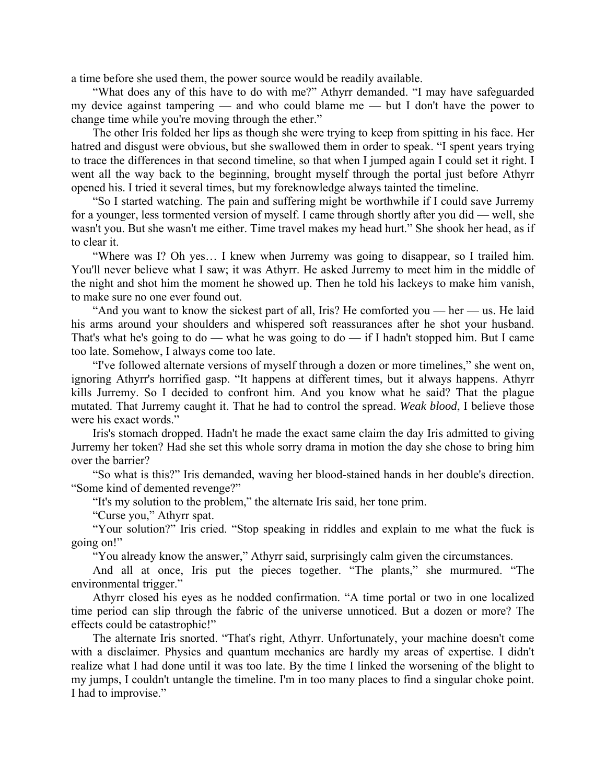a time before she used them, the power source would be readily available.

"What does any of this have to do with me?" Athyrr demanded. "I may have safeguarded my device against tampering — and who could blame me — but I don't have the power to change time while you're moving through the ether."

The other Iris folded her lips as though she were trying to keep from spitting in his face. Her hatred and disgust were obvious, but she swallowed them in order to speak. "I spent years trying to trace the differences in that second timeline, so that when I jumped again I could set it right. I went all the way back to the beginning, brought myself through the portal just before Athyrr opened his. I tried it several times, but my foreknowledge always tainted the timeline.

"So I started watching. The pain and suffering might be worthwhile if I could save Jurremy for a younger, less tormented version of myself. I came through shortly after you did — well, she wasn't you. But she wasn't me either. Time travel makes my head hurt." She shook her head, as if to clear it.

"Where was I? Oh yes… I knew when Jurremy was going to disappear, so I trailed him. You'll never believe what I saw; it was Athyrr. He asked Jurremy to meet him in the middle of the night and shot him the moment he showed up. Then he told his lackeys to make him vanish, to make sure no one ever found out.

"And you want to know the sickest part of all, Iris? He comforted you — her — us. He laid his arms around your shoulders and whispered soft reassurances after he shot your husband. That's what he's going to do — what he was going to do — if I hadn't stopped him. But I came too late. Somehow, I always come too late.

"I've followed alternate versions of myself through a dozen or more timelines," she went on, ignoring Athyrr's horrified gasp. "It happens at different times, but it always happens. Athyrr kills Jurremy. So I decided to confront him. And you know what he said? That the plague mutated. That Jurremy caught it. That he had to control the spread. *Weak blood*, I believe those were his exact words."

Iris's stomach dropped. Hadn't he made the exact same claim the day Iris admitted to giving Jurremy her token? Had she set this whole sorry drama in motion the day she chose to bring him over the barrier?

"So what is this?" Iris demanded, waving her blood-stained hands in her double's direction. "Some kind of demented revenge?"

"It's my solution to the problem," the alternate Iris said, her tone prim.

"Curse you," Athyrr spat.

"Your solution?" Iris cried. "Stop speaking in riddles and explain to me what the fuck is going on!"

"You already know the answer," Athyrr said, surprisingly calm given the circumstances.

And all at once, Iris put the pieces together. "The plants," she murmured. "The environmental trigger."

Athyrr closed his eyes as he nodded confirmation. "A time portal or two in one localized time period can slip through the fabric of the universe unnoticed. But a dozen or more? The effects could be catastrophic!"

The alternate Iris snorted. "That's right, Athyrr. Unfortunately, your machine doesn't come with a disclaimer. Physics and quantum mechanics are hardly my areas of expertise. I didn't realize what I had done until it was too late. By the time I linked the worsening of the blight to my jumps, I couldn't untangle the timeline. I'm in too many places to find a singular choke point. I had to improvise."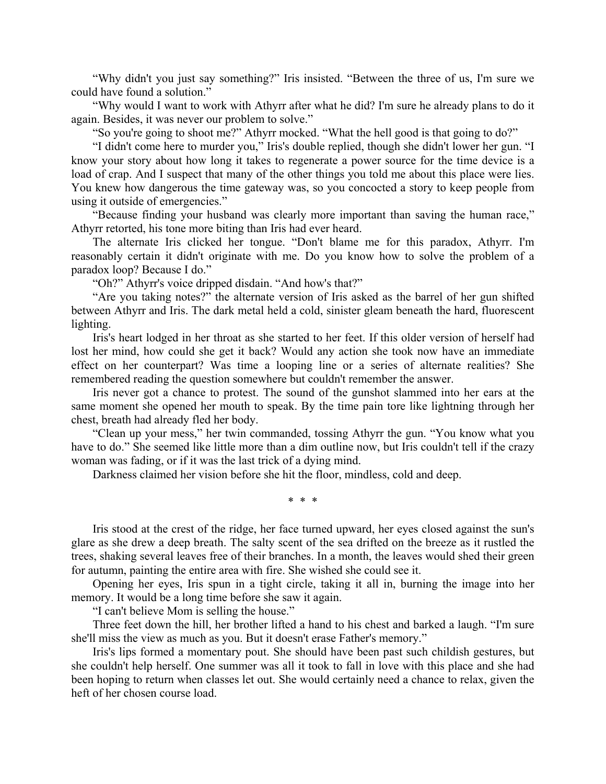"Why didn't you just say something?" Iris insisted. "Between the three of us, I'm sure we could have found a solution."

"Why would I want to work with Athyrr after what he did? I'm sure he already plans to do it again. Besides, it was never our problem to solve."

"So you're going to shoot me?" Athyrr mocked. "What the hell good is that going to do?"

"I didn't come here to murder you," Iris's double replied, though she didn't lower her gun. "I know your story about how long it takes to regenerate a power source for the time device is a load of crap. And I suspect that many of the other things you told me about this place were lies. You knew how dangerous the time gateway was, so you concocted a story to keep people from using it outside of emergencies."

"Because finding your husband was clearly more important than saving the human race," Athyrr retorted, his tone more biting than Iris had ever heard.

The alternate Iris clicked her tongue. "Don't blame me for this paradox, Athyrr. I'm reasonably certain it didn't originate with me. Do you know how to solve the problem of a paradox loop? Because I do."

"Oh?" Athyrr's voice dripped disdain. "And how's that?"

"Are you taking notes?" the alternate version of Iris asked as the barrel of her gun shifted between Athyrr and Iris. The dark metal held a cold, sinister gleam beneath the hard, fluorescent lighting.

Iris's heart lodged in her throat as she started to her feet. If this older version of herself had lost her mind, how could she get it back? Would any action she took now have an immediate effect on her counterpart? Was time a looping line or a series of alternate realities? She remembered reading the question somewhere but couldn't remember the answer.

Iris never got a chance to protest. The sound of the gunshot slammed into her ears at the same moment she opened her mouth to speak. By the time pain tore like lightning through her chest, breath had already fled her body.

"Clean up your mess," her twin commanded, tossing Athyrr the gun. "You know what you have to do." She seemed like little more than a dim outline now, but Iris couldn't tell if the crazy woman was fading, or if it was the last trick of a dying mind.

Darkness claimed her vision before she hit the floor, mindless, cold and deep.

\* \* \*

Iris stood at the crest of the ridge, her face turned upward, her eyes closed against the sun's glare as she drew a deep breath. The salty scent of the sea drifted on the breeze as it rustled the trees, shaking several leaves free of their branches. In a month, the leaves would shed their green for autumn, painting the entire area with fire. She wished she could see it.

Opening her eyes, Iris spun in a tight circle, taking it all in, burning the image into her memory. It would be a long time before she saw it again.

"I can't believe Mom is selling the house."

Three feet down the hill, her brother lifted a hand to his chest and barked a laugh. "I'm sure she'll miss the view as much as you. But it doesn't erase Father's memory."

Iris's lips formed a momentary pout. She should have been past such childish gestures, but she couldn't help herself. One summer was all it took to fall in love with this place and she had been hoping to return when classes let out. She would certainly need a chance to relax, given the heft of her chosen course load.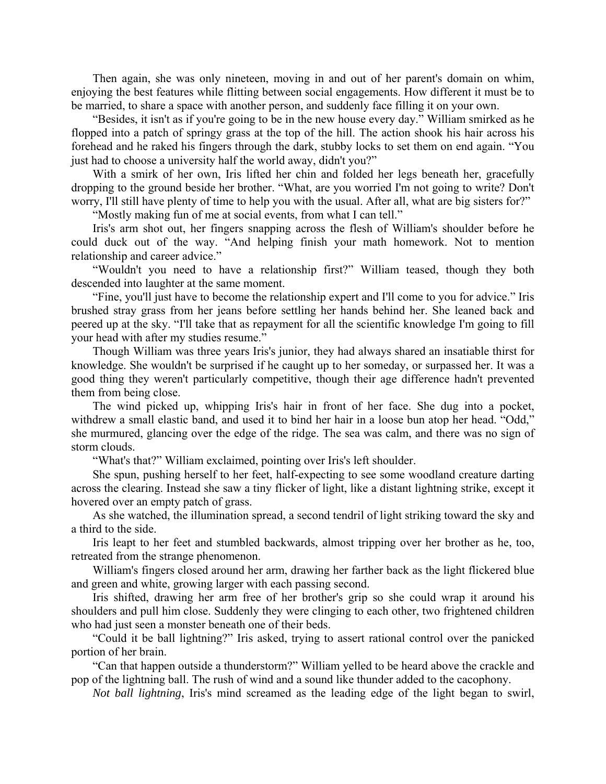Then again, she was only nineteen, moving in and out of her parent's domain on whim, enjoying the best features while flitting between social engagements. How different it must be to be married, to share a space with another person, and suddenly face filling it on your own.

"Besides, it isn't as if you're going to be in the new house every day." William smirked as he flopped into a patch of springy grass at the top of the hill. The action shook his hair across his forehead and he raked his fingers through the dark, stubby locks to set them on end again. "You just had to choose a university half the world away, didn't you?"

With a smirk of her own, Iris lifted her chin and folded her legs beneath her, gracefully dropping to the ground beside her brother. "What, are you worried I'm not going to write? Don't worry, I'll still have plenty of time to help you with the usual. After all, what are big sisters for?"

"Mostly making fun of me at social events, from what I can tell."

Iris's arm shot out, her fingers snapping across the flesh of William's shoulder before he could duck out of the way. "And helping finish your math homework. Not to mention relationship and career advice."

"Wouldn't you need to have a relationship first?" William teased, though they both descended into laughter at the same moment.

"Fine, you'll just have to become the relationship expert and I'll come to you for advice." Iris brushed stray grass from her jeans before settling her hands behind her. She leaned back and peered up at the sky. "I'll take that as repayment for all the scientific knowledge I'm going to fill your head with after my studies resume."

Though William was three years Iris's junior, they had always shared an insatiable thirst for knowledge. She wouldn't be surprised if he caught up to her someday, or surpassed her. It was a good thing they weren't particularly competitive, though their age difference hadn't prevented them from being close.

The wind picked up, whipping Iris's hair in front of her face. She dug into a pocket, withdrew a small elastic band, and used it to bind her hair in a loose bun atop her head. "Odd," she murmured, glancing over the edge of the ridge. The sea was calm, and there was no sign of storm clouds.

"What's that?" William exclaimed, pointing over Iris's left shoulder.

She spun, pushing herself to her feet, half-expecting to see some woodland creature darting across the clearing. Instead she saw a tiny flicker of light, like a distant lightning strike, except it hovered over an empty patch of grass.

As she watched, the illumination spread, a second tendril of light striking toward the sky and a third to the side.

Iris leapt to her feet and stumbled backwards, almost tripping over her brother as he, too, retreated from the strange phenomenon.

William's fingers closed around her arm, drawing her farther back as the light flickered blue and green and white, growing larger with each passing second.

Iris shifted, drawing her arm free of her brother's grip so she could wrap it around his shoulders and pull him close. Suddenly they were clinging to each other, two frightened children who had just seen a monster beneath one of their beds.

"Could it be ball lightning?" Iris asked, trying to assert rational control over the panicked portion of her brain.

"Can that happen outside a thunderstorm?" William yelled to be heard above the crackle and pop of the lightning ball. The rush of wind and a sound like thunder added to the cacophony.

*Not ball lightning*, Iris's mind screamed as the leading edge of the light began to swirl,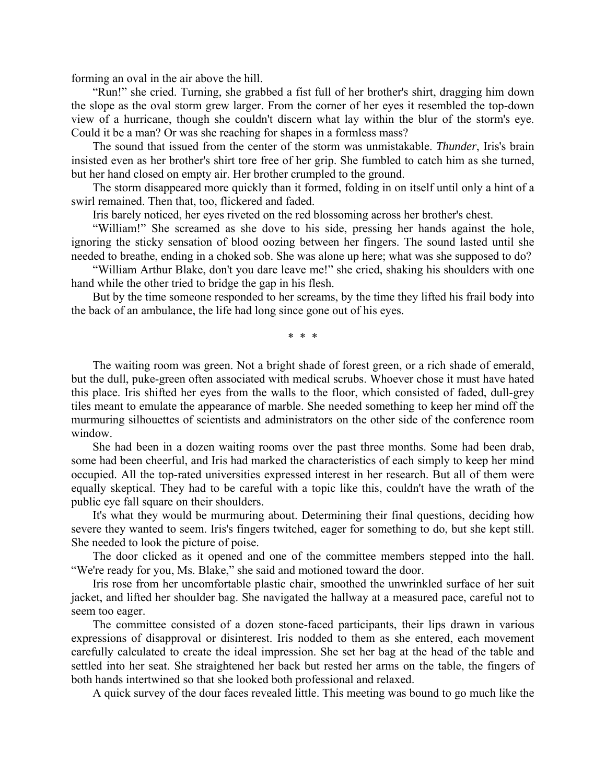forming an oval in the air above the hill.

"Run!" she cried. Turning, she grabbed a fist full of her brother's shirt, dragging him down the slope as the oval storm grew larger. From the corner of her eyes it resembled the top-down view of a hurricane, though she couldn't discern what lay within the blur of the storm's eye. Could it be a man? Or was she reaching for shapes in a formless mass?

The sound that issued from the center of the storm was unmistakable. *Thunder*, Iris's brain insisted even as her brother's shirt tore free of her grip. She fumbled to catch him as she turned, but her hand closed on empty air. Her brother crumpled to the ground.

The storm disappeared more quickly than it formed, folding in on itself until only a hint of a swirl remained. Then that, too, flickered and faded.

Iris barely noticed, her eyes riveted on the red blossoming across her brother's chest.

"William!" She screamed as she dove to his side, pressing her hands against the hole, ignoring the sticky sensation of blood oozing between her fingers. The sound lasted until she needed to breathe, ending in a choked sob. She was alone up here; what was she supposed to do?

"William Arthur Blake, don't you dare leave me!" she cried, shaking his shoulders with one hand while the other tried to bridge the gap in his flesh.

But by the time someone responded to her screams, by the time they lifted his frail body into the back of an ambulance, the life had long since gone out of his eyes.

\* \* \*

The waiting room was green. Not a bright shade of forest green, or a rich shade of emerald, but the dull, puke-green often associated with medical scrubs. Whoever chose it must have hated this place. Iris shifted her eyes from the walls to the floor, which consisted of faded, dull-grey tiles meant to emulate the appearance of marble. She needed something to keep her mind off the murmuring silhouettes of scientists and administrators on the other side of the conference room window.

She had been in a dozen waiting rooms over the past three months. Some had been drab, some had been cheerful, and Iris had marked the characteristics of each simply to keep her mind occupied. All the top-rated universities expressed interest in her research. But all of them were equally skeptical. They had to be careful with a topic like this, couldn't have the wrath of the public eye fall square on their shoulders.

It's what they would be murmuring about. Determining their final questions, deciding how severe they wanted to seem. Iris's fingers twitched, eager for something to do, but she kept still. She needed to look the picture of poise.

The door clicked as it opened and one of the committee members stepped into the hall. "We're ready for you, Ms. Blake," she said and motioned toward the door.

Iris rose from her uncomfortable plastic chair, smoothed the unwrinkled surface of her suit jacket, and lifted her shoulder bag. She navigated the hallway at a measured pace, careful not to seem too eager.

The committee consisted of a dozen stone-faced participants, their lips drawn in various expressions of disapproval or disinterest. Iris nodded to them as she entered, each movement carefully calculated to create the ideal impression. She set her bag at the head of the table and settled into her seat. She straightened her back but rested her arms on the table, the fingers of both hands intertwined so that she looked both professional and relaxed.

A quick survey of the dour faces revealed little. This meeting was bound to go much like the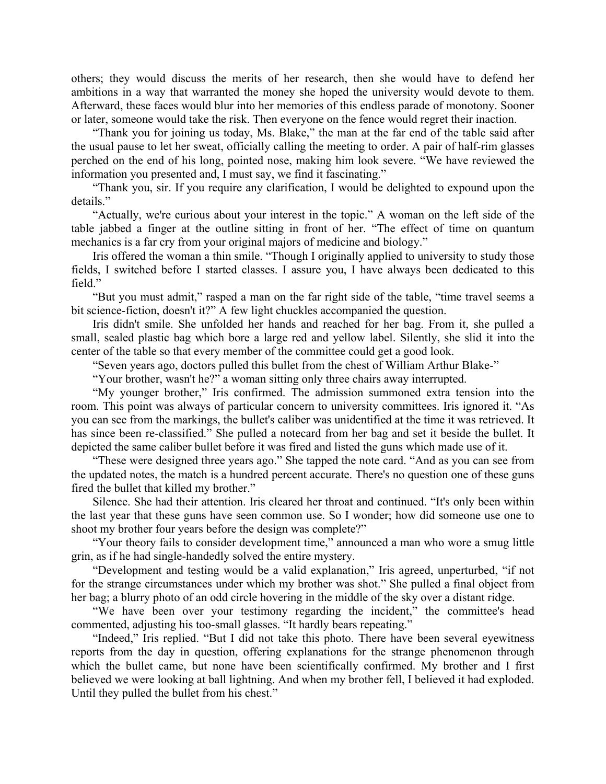others; they would discuss the merits of her research, then she would have to defend her ambitions in a way that warranted the money she hoped the university would devote to them. Afterward, these faces would blur into her memories of this endless parade of monotony. Sooner or later, someone would take the risk. Then everyone on the fence would regret their inaction.

"Thank you for joining us today, Ms. Blake," the man at the far end of the table said after the usual pause to let her sweat, officially calling the meeting to order. A pair of half-rim glasses perched on the end of his long, pointed nose, making him look severe. "We have reviewed the information you presented and, I must say, we find it fascinating."

"Thank you, sir. If you require any clarification, I would be delighted to expound upon the details."

"Actually, we're curious about your interest in the topic." A woman on the left side of the table jabbed a finger at the outline sitting in front of her. "The effect of time on quantum mechanics is a far cry from your original majors of medicine and biology."

Iris offered the woman a thin smile. "Though I originally applied to university to study those fields, I switched before I started classes. I assure you, I have always been dedicated to this field."

"But you must admit," rasped a man on the far right side of the table, "time travel seems a bit science-fiction, doesn't it?" A few light chuckles accompanied the question.

Iris didn't smile. She unfolded her hands and reached for her bag. From it, she pulled a small, sealed plastic bag which bore a large red and yellow label. Silently, she slid it into the center of the table so that every member of the committee could get a good look.

"Seven years ago, doctors pulled this bullet from the chest of William Arthur Blake-"

"Your brother, wasn't he?" a woman sitting only three chairs away interrupted.

"My younger brother," Iris confirmed. The admission summoned extra tension into the room. This point was always of particular concern to university committees. Iris ignored it. "As you can see from the markings, the bullet's caliber was unidentified at the time it was retrieved. It has since been re-classified." She pulled a notecard from her bag and set it beside the bullet. It depicted the same caliber bullet before it was fired and listed the guns which made use of it.

"These were designed three years ago." She tapped the note card. "And as you can see from the updated notes, the match is a hundred percent accurate. There's no question one of these guns fired the bullet that killed my brother."

Silence. She had their attention. Iris cleared her throat and continued. "It's only been within the last year that these guns have seen common use. So I wonder; how did someone use one to shoot my brother four years before the design was complete?"

"Your theory fails to consider development time," announced a man who wore a smug little grin, as if he had single-handedly solved the entire mystery.

"Development and testing would be a valid explanation," Iris agreed, unperturbed, "if not for the strange circumstances under which my brother was shot." She pulled a final object from her bag; a blurry photo of an odd circle hovering in the middle of the sky over a distant ridge.

"We have been over your testimony regarding the incident," the committee's head commented, adjusting his too-small glasses. "It hardly bears repeating."

"Indeed," Iris replied. "But I did not take this photo. There have been several eyewitness reports from the day in question, offering explanations for the strange phenomenon through which the bullet came, but none have been scientifically confirmed. My brother and I first believed we were looking at ball lightning. And when my brother fell, I believed it had exploded. Until they pulled the bullet from his chest."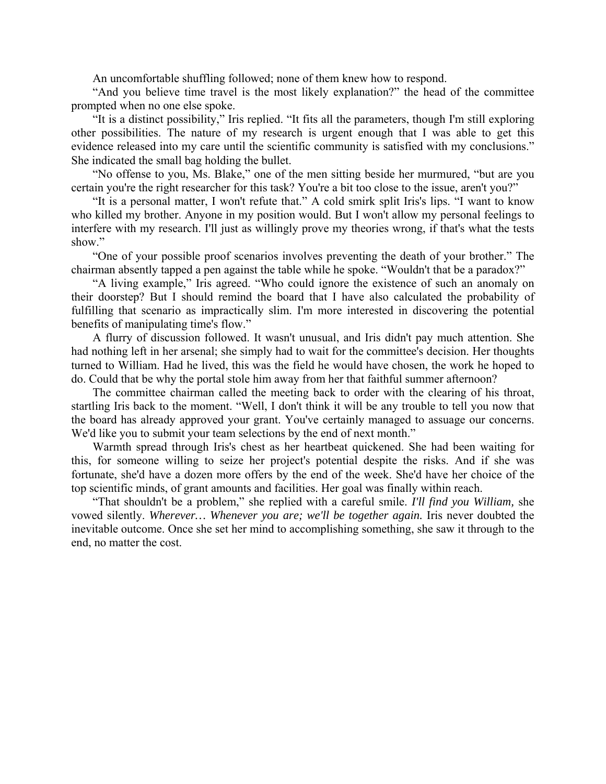An uncomfortable shuffling followed; none of them knew how to respond.

"And you believe time travel is the most likely explanation?" the head of the committee prompted when no one else spoke.

"It is a distinct possibility," Iris replied. "It fits all the parameters, though I'm still exploring other possibilities. The nature of my research is urgent enough that I was able to get this evidence released into my care until the scientific community is satisfied with my conclusions." She indicated the small bag holding the bullet.

"No offense to you, Ms. Blake," one of the men sitting beside her murmured, "but are you certain you're the right researcher for this task? You're a bit too close to the issue, aren't you?"

"It is a personal matter, I won't refute that." A cold smirk split Iris's lips. "I want to know who killed my brother. Anyone in my position would. But I won't allow my personal feelings to interfere with my research. I'll just as willingly prove my theories wrong, if that's what the tests show."

"One of your possible proof scenarios involves preventing the death of your brother." The chairman absently tapped a pen against the table while he spoke. "Wouldn't that be a paradox?"

"A living example," Iris agreed. "Who could ignore the existence of such an anomaly on their doorstep? But I should remind the board that I have also calculated the probability of fulfilling that scenario as impractically slim. I'm more interested in discovering the potential benefits of manipulating time's flow."

A flurry of discussion followed. It wasn't unusual, and Iris didn't pay much attention. She had nothing left in her arsenal; she simply had to wait for the committee's decision. Her thoughts turned to William. Had he lived, this was the field he would have chosen, the work he hoped to do. Could that be why the portal stole him away from her that faithful summer afternoon?

The committee chairman called the meeting back to order with the clearing of his throat, startling Iris back to the moment. "Well, I don't think it will be any trouble to tell you now that the board has already approved your grant. You've certainly managed to assuage our concerns. We'd like you to submit your team selections by the end of next month."

Warmth spread through Iris's chest as her heartbeat quickened. She had been waiting for this, for someone willing to seize her project's potential despite the risks. And if she was fortunate, she'd have a dozen more offers by the end of the week. She'd have her choice of the top scientific minds, of grant amounts and facilities. Her goal was finally within reach.

"That shouldn't be a problem," she replied with a careful smile. *I'll find you William,* she vowed silently. *Wherever… Whenever you are; we'll be together again.* Iris never doubted the inevitable outcome. Once she set her mind to accomplishing something, she saw it through to the end, no matter the cost.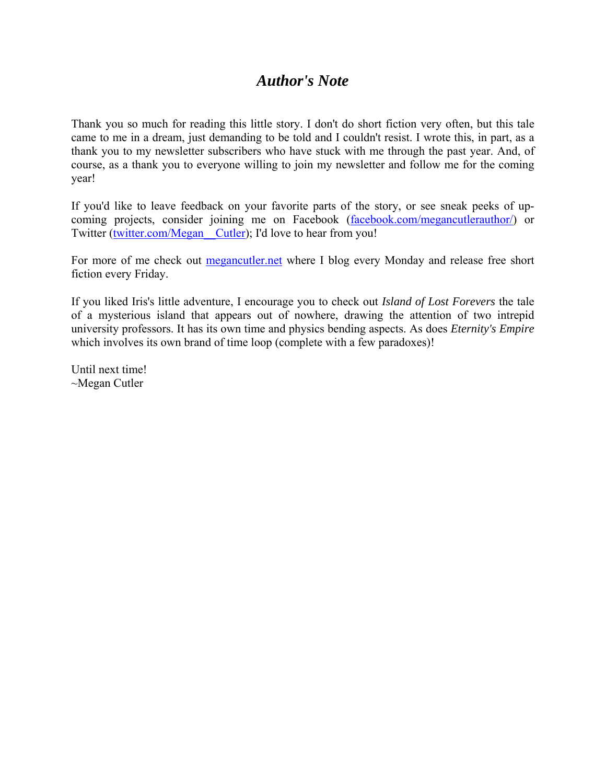## *Author's Note*

Thank you so much for reading this little story. I don't do short fiction very often, but this tale came to me in a dream, just demanding to be told and I couldn't resist. I wrote this, in part, as a thank you to my newsletter subscribers who have stuck with me through the past year. And, of course, as a thank you to everyone willing to join my newsletter and follow me for the coming year!

If you'd like to leave feedback on your favorite parts of the story, or see sneak peeks of upcoming projects, consider joining me on Facebook (facebook.com/megancutlerauthor/) or Twitter (twitter.com/Megan Cutler); I'd love to hear from you!

For more of me check out **megancutler.net** where I blog every Monday and release free short fiction every Friday.

If you liked Iris's little adventure, I encourage you to check out *Island of Lost Forevers* the tale of a mysterious island that appears out of nowhere, drawing the attention of two intrepid university professors. It has its own time and physics bending aspects. As does *Eternity's Empire* which involves its own brand of time loop (complete with a few paradoxes)!

Until next time! ~Megan Cutler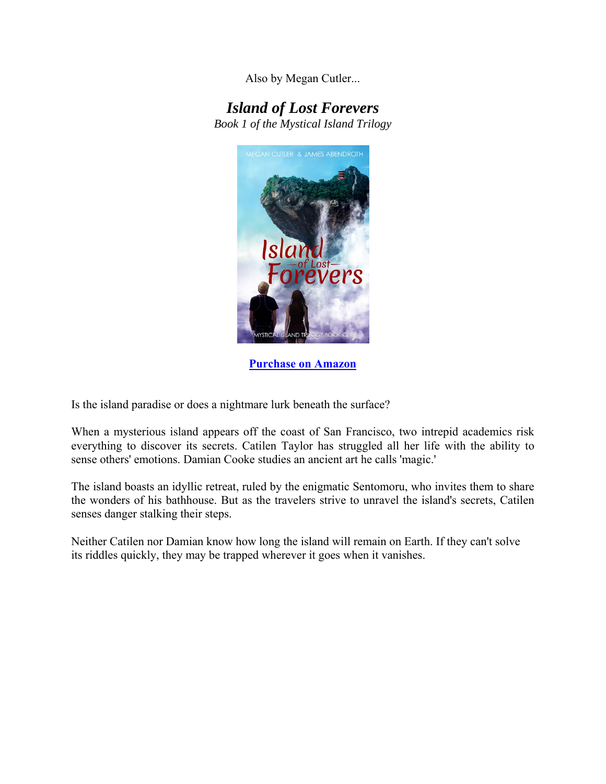Also by Megan Cutler...

## *Island of Lost Forevers*

*Book 1 of the Mystical Island Trilogy* 



**Purchase on Amazon**

Is the island paradise or does a nightmare lurk beneath the surface?

When a mysterious island appears off the coast of San Francisco, two intrepid academics risk everything to discover its secrets. Catilen Taylor has struggled all her life with the ability to sense others' emotions. Damian Cooke studies an ancient art he calls 'magic.'

The island boasts an idyllic retreat, ruled by the enigmatic Sentomoru, who invites them to share the wonders of his bathhouse. But as the travelers strive to unravel the island's secrets, Catilen senses danger stalking their steps.

Neither Catilen nor Damian know how long the island will remain on Earth. If they can't solve its riddles quickly, they may be trapped wherever it goes when it vanishes.